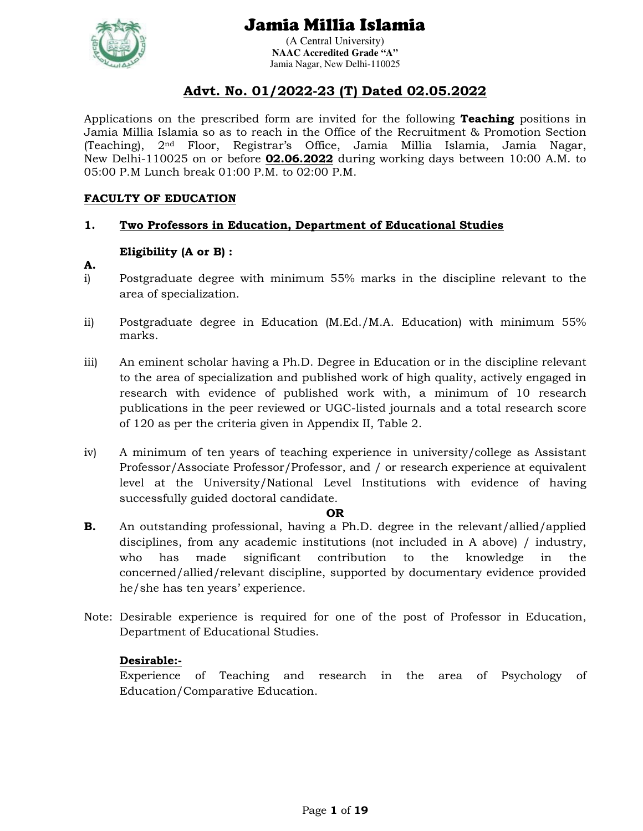

(A Central University) **NAAC Accredited Grade "A"**  Jamia Nagar, New Delhi-110025

## **Advt. No. 01/2022-23 (T) Dated 02.05.2022**

Applications on the prescribed form are invited for the following **Teaching** positions in Jamia Millia Islamia so as to reach in the Office of the Recruitment & Promotion Section (Teaching), 2nd Floor, Registrar's Office, Jamia Millia Islamia, Jamia Nagar, New Delhi-110025 on or before **02.06.2022** during working days between 10:00 A.M. to 05:00 P.M Lunch break 01:00 P.M. to 02:00 P.M.

## **FACULTY OF EDUCATION**

## **1. Two Professors in Education, Department of Educational Studies**

## **Eligibility (A or B) :**

- **A.**
- i) Postgraduate degree with minimum 55% marks in the discipline relevant to the area of specialization.
- ii) Postgraduate degree in Education (M.Ed./M.A. Education) with minimum 55% marks.
- iii) An eminent scholar having a Ph.D. Degree in Education or in the discipline relevant to the area of specialization and published work of high quality, actively engaged in research with evidence of published work with, a minimum of 10 research publications in the peer reviewed or UGC-listed journals and a total research score of 120 as per the criteria given in Appendix II, Table 2.
- iv) A minimum of ten years of teaching experience in university/college as Assistant Professor/Associate Professor/Professor, and / or research experience at equivalent level at the University/National Level Institutions with evidence of having successfully guided doctoral candidate.

### **OR**

- **B.** An outstanding professional, having a Ph.D. degree in the relevant/allied/applied disciplines, from any academic institutions (not included in A above) / industry, who has made significant contribution to the knowledge in the concerned/allied/relevant discipline, supported by documentary evidence provided he/she has ten years' experience.
- Note: Desirable experience is required for one of the post of Professor in Education, Department of Educational Studies.

## **Desirable:-**

Experience of Teaching and research in the area of Psychology of Education/Comparative Education.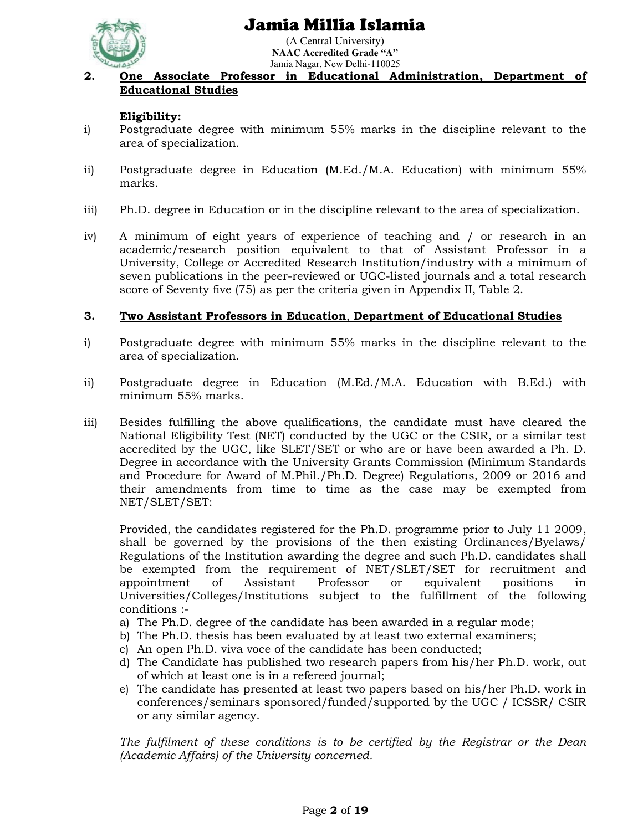

(A Central University) **NAAC Accredited Grade "A"**  Jamia Nagar, New Delhi-110025

## **2. One Associate Professor in Educational Administration, Department of Educational Studies**

## **Eligibility:**

- i) Postgraduate degree with minimum 55% marks in the discipline relevant to the area of specialization.
- ii) Postgraduate degree in Education (M.Ed./M.A. Education) with minimum 55% marks.
- iii) Ph.D. degree in Education or in the discipline relevant to the area of specialization.
- iv) A minimum of eight years of experience of teaching and / or research in an academic/research position equivalent to that of Assistant Professor in a University, College or Accredited Research Institution/industry with a minimum of seven publications in the peer-reviewed or UGC-listed journals and a total research score of Seventy five (75) as per the criteria given in Appendix II, Table 2.

### **3. Two Assistant Professors in Education**, **Department of Educational Studies**

- i) Postgraduate degree with minimum 55% marks in the discipline relevant to the area of specialization.
- ii) Postgraduate degree in Education (M.Ed./M.A. Education with B.Ed.) with minimum 55% marks.
- iii) Besides fulfilling the above qualifications, the candidate must have cleared the National Eligibility Test (NET) conducted by the UGC or the CSIR, or a similar test accredited by the UGC, like SLET/SET or who are or have been awarded a Ph. D. Degree in accordance with the University Grants Commission (Minimum Standards and Procedure for Award of M.Phil./Ph.D. Degree) Regulations, 2009 or 2016 and their amendments from time to time as the case may be exempted from NET/SLET/SET:

Provided, the candidates registered for the Ph.D. programme prior to July 11 2009, shall be governed by the provisions of the then existing Ordinances/Byelaws/ Regulations of the Institution awarding the degree and such Ph.D. candidates shall be exempted from the requirement of NET/SLET/SET for recruitment and appointment of Assistant Professor or equivalent positions in Universities/Colleges/Institutions subject to the fulfillment of the following conditions :-

- a) The Ph.D. degree of the candidate has been awarded in a regular mode;
- b) The Ph.D. thesis has been evaluated by at least two external examiners;
- c) An open Ph.D. viva voce of the candidate has been conducted;
- d) The Candidate has published two research papers from his/her Ph.D. work, out of which at least one is in a refereed journal;
- e) The candidate has presented at least two papers based on his/her Ph.D. work in conferences/seminars sponsored/funded/supported by the UGC / ICSSR/ CSIR or any similar agency.

*The fulfilment of these conditions is to be certified by the Registrar or the Dean (Academic Affairs) of the University concerned.*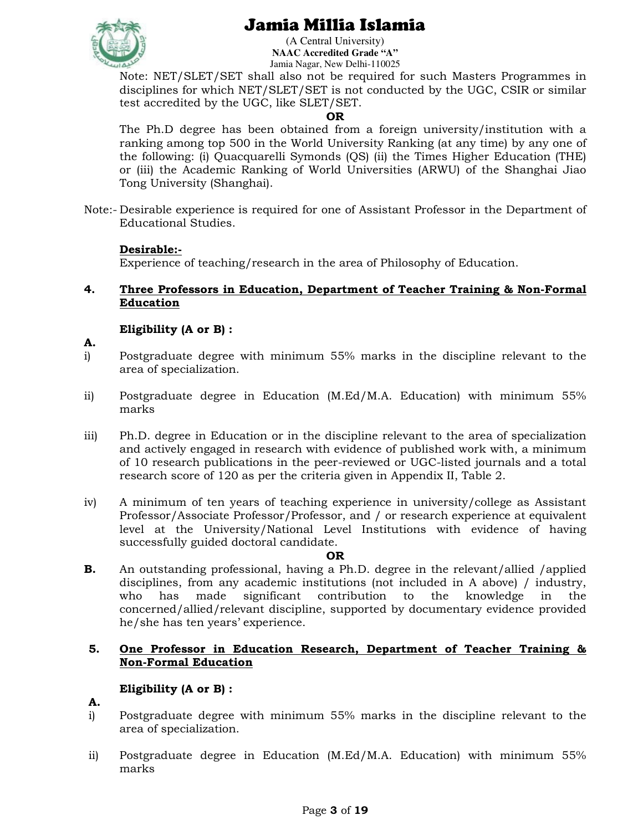

(A Central University) **NAAC Accredited Grade "A"**  Jamia Nagar, New Delhi-110025

Note: NET/SLET/SET shall also not be required for such Masters Programmes in disciplines for which NET/SLET/SET is not conducted by the UGC, CSIR or similar test accredited by the UGC, like SLET/SET.

### **OR**

The Ph.D degree has been obtained from a foreign university/institution with a ranking among top 500 in the World University Ranking (at any time) by any one of the following: (i) Quacquarelli Symonds (QS) (ii) the Times Higher Education (THE) or (iii) the Academic Ranking of World Universities (ARWU) of the Shanghai Jiao Tong University (Shanghai).

Note:- Desirable experience is required for one of Assistant Professor in the Department of Educational Studies.

## **Desirable:-**

Experience of teaching/research in the area of Philosophy of Education.

**4. Three Professors in Education, Department of Teacher Training & Non-Formal Education**

## **Eligibility (A or B) :**

- **A.**
- i) Postgraduate degree with minimum 55% marks in the discipline relevant to the area of specialization.
- ii) Postgraduate degree in Education (M.Ed/M.A. Education) with minimum 55% marks
- iii) Ph.D. degree in Education or in the discipline relevant to the area of specialization and actively engaged in research with evidence of published work with, a minimum of 10 research publications in the peer-reviewed or UGC-listed journals and a total research score of 120 as per the criteria given in Appendix II, Table 2.
- iv) A minimum of ten years of teaching experience in university/college as Assistant Professor/Associate Professor/Professor, and / or research experience at equivalent level at the University/National Level Institutions with evidence of having successfully guided doctoral candidate.

### **OR**

**B.** An outstanding professional, having a Ph.D. degree in the relevant/allied /applied disciplines, from any academic institutions (not included in A above) / industry, who has made significant contribution to the knowledge in the concerned/allied/relevant discipline, supported by documentary evidence provided he/she has ten years' experience.

### **5. One Professor in Education Research, Department of Teacher Training & Non-Formal Education**

## **Eligibility (A or B) :**

- **A.**
- i) Postgraduate degree with minimum 55% marks in the discipline relevant to the area of specialization.
- ii) Postgraduate degree in Education (M.Ed/M.A. Education) with minimum 55% marks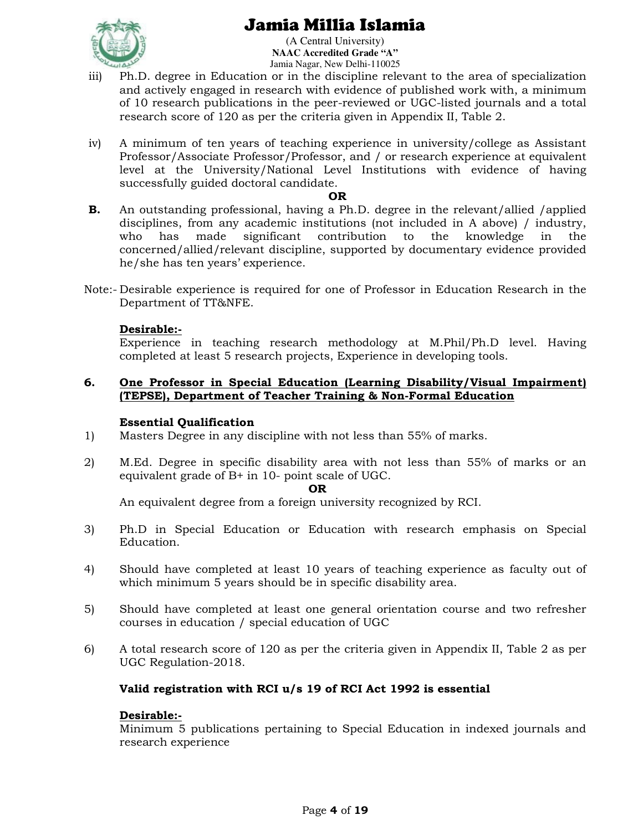

(A Central University) **NAAC Accredited Grade "A"**  Jamia Nagar, New Delhi-110025

- iii) Ph.D. degree in Education or in the discipline relevant to the area of specialization and actively engaged in research with evidence of published work with, a minimum of 10 research publications in the peer-reviewed or UGC-listed journals and a total research score of 120 as per the criteria given in Appendix II, Table 2.
- iv) A minimum of ten years of teaching experience in university/college as Assistant Professor/Associate Professor/Professor, and / or research experience at equivalent level at the University/National Level Institutions with evidence of having successfully guided doctoral candidate.

### **OR**

- **B.** An outstanding professional, having a Ph.D. degree in the relevant/allied /applied disciplines, from any academic institutions (not included in A above) / industry, who has made significant contribution to the knowledge in the concerned/allied/relevant discipline, supported by documentary evidence provided he/she has ten years' experience.
- Note:- Desirable experience is required for one of Professor in Education Research in the Department of TT&NFE.

## **Desirable:-**

Experience in teaching research methodology at M.Phil/Ph.D level. Having completed at least 5 research projects, Experience in developing tools.

### **6. One Professor in Special Education (Learning Disability/Visual Impairment) (TEPSE), Department of Teacher Training & Non-Formal Education**

### **Essential Qualification**

- 1) Masters Degree in any discipline with not less than 55% of marks.
- 2) M.Ed. Degree in specific disability area with not less than 55% of marks or an equivalent grade of B+ in 10- point scale of UGC.

#### **OR**

An equivalent degree from a foreign university recognized by RCI.

- 3) Ph.D in Special Education or Education with research emphasis on Special Education.
- 4) Should have completed at least 10 years of teaching experience as faculty out of which minimum 5 years should be in specific disability area.
- 5) Should have completed at least one general orientation course and two refresher courses in education / special education of UGC
- 6) A total research score of 120 as per the criteria given in Appendix II, Table 2 as per UGC Regulation-2018.

## **Valid registration with RCI u/s 19 of RCI Act 1992 is essential**

### **Desirable:-**

Minimum 5 publications pertaining to Special Education in indexed journals and research experience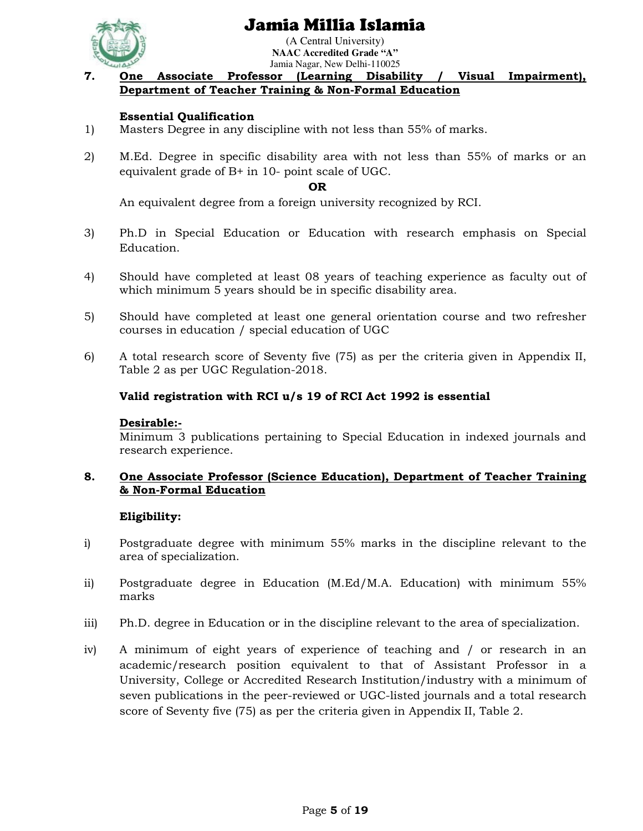



#### (A Central University) **NAAC Accredited Grade "A"**  Jamia Nagar, New Delhi-110025

## **7. One Associate Professor (Learning Disability / Visual Impairment), Department of Teacher Training & Non-Formal Education**

## **Essential Qualification**

- 1) Masters Degree in any discipline with not less than 55% of marks.
- 2) M.Ed. Degree in specific disability area with not less than 55% of marks or an equivalent grade of B+ in 10- point scale of UGC.

#### **OR**

An equivalent degree from a foreign university recognized by RCI.

- 3) Ph.D in Special Education or Education with research emphasis on Special Education.
- 4) Should have completed at least 08 years of teaching experience as faculty out of which minimum 5 years should be in specific disability area.
- 5) Should have completed at least one general orientation course and two refresher courses in education / special education of UGC
- 6) A total research score of Seventy five (75) as per the criteria given in Appendix II, Table 2 as per UGC Regulation-2018.

### **Valid registration with RCI u/s 19 of RCI Act 1992 is essential**

### **Desirable:-**

Minimum 3 publications pertaining to Special Education in indexed journals and research experience.

## **8. One Associate Professor (Science Education), Department of Teacher Training & Non-Formal Education**

## **Eligibility:**

- i) Postgraduate degree with minimum 55% marks in the discipline relevant to the area of specialization.
- ii) Postgraduate degree in Education (M.Ed/M.A. Education) with minimum 55% marks
- iii) Ph.D. degree in Education or in the discipline relevant to the area of specialization.
- iv) A minimum of eight years of experience of teaching and / or research in an academic/research position equivalent to that of Assistant Professor in a University, College or Accredited Research Institution/industry with a minimum of seven publications in the peer-reviewed or UGC-listed journals and a total research score of Seventy five (75) as per the criteria given in Appendix II, Table 2.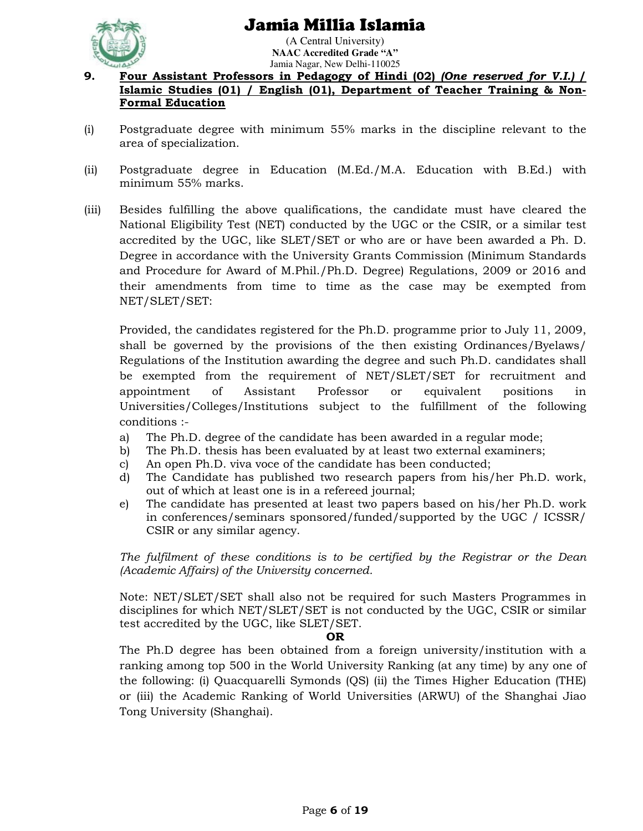

(A Central University) **NAAC Accredited Grade "A"**  Jamia Nagar, New Delhi-110025

### **9. Four Assistant Professors in Pedagogy of Hindi (02)** *(One reserved for V.I.)* **/ Islamic Studies (01) / English (01), Department of Teacher Training & Non-Formal Education**

- (i) Postgraduate degree with minimum 55% marks in the discipline relevant to the area of specialization.
- (ii) Postgraduate degree in Education (M.Ed./M.A. Education with B.Ed.) with minimum 55% marks.
- (iii) Besides fulfilling the above qualifications, the candidate must have cleared the National Eligibility Test (NET) conducted by the UGC or the CSIR, or a similar test accredited by the UGC, like SLET/SET or who are or have been awarded a Ph. D. Degree in accordance with the University Grants Commission (Minimum Standards and Procedure for Award of M.Phil./Ph.D. Degree) Regulations, 2009 or 2016 and their amendments from time to time as the case may be exempted from NET/SLET/SET:

Provided, the candidates registered for the Ph.D. programme prior to July 11, 2009, shall be governed by the provisions of the then existing Ordinances/Byelaws/ Regulations of the Institution awarding the degree and such Ph.D. candidates shall be exempted from the requirement of NET/SLET/SET for recruitment and appointment of Assistant Professor or equivalent positions in Universities/Colleges/Institutions subject to the fulfillment of the following conditions :-

- a) The Ph.D. degree of the candidate has been awarded in a regular mode;
- b) The Ph.D. thesis has been evaluated by at least two external examiners;
- c) An open Ph.D. viva voce of the candidate has been conducted;
- d) The Candidate has published two research papers from his/her Ph.D. work, out of which at least one is in a refereed journal;
- e) The candidate has presented at least two papers based on his/her Ph.D. work in conferences/seminars sponsored/funded/supported by the UGC / ICSSR/ CSIR or any similar agency.

*The fulfilment of these conditions is to be certified by the Registrar or the Dean (Academic Affairs) of the University concerned.* 

Note: NET/SLET/SET shall also not be required for such Masters Programmes in disciplines for which NET/SLET/SET is not conducted by the UGC, CSIR or similar test accredited by the UGC, like SLET/SET.

#### **OR**

The Ph.D degree has been obtained from a foreign university/institution with a ranking among top 500 in the World University Ranking (at any time) by any one of the following: (i) Quacquarelli Symonds (QS) (ii) the Times Higher Education (THE) or (iii) the Academic Ranking of World Universities (ARWU) of the Shanghai Jiao Tong University (Shanghai).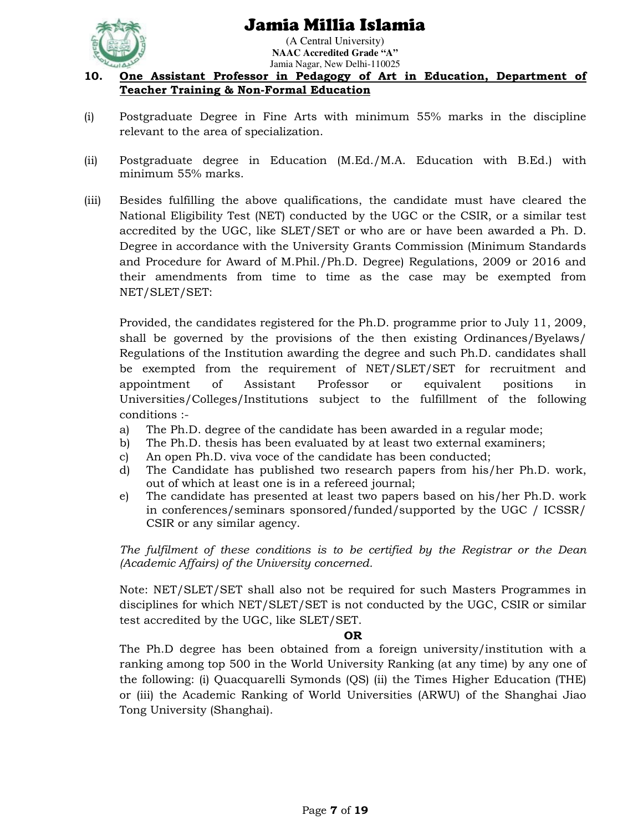

(A Central University) **NAAC Accredited Grade "A"**  Jamia Nagar, New Delhi-110025

## **10. One Assistant Professor in Pedagogy of Art in Education, Department of Teacher Training & Non-Formal Education**

- (i) Postgraduate Degree in Fine Arts with minimum 55% marks in the discipline relevant to the area of specialization.
- (ii) Postgraduate degree in Education (M.Ed./M.A. Education with B.Ed.) with minimum 55% marks.
- (iii) Besides fulfilling the above qualifications, the candidate must have cleared the National Eligibility Test (NET) conducted by the UGC or the CSIR, or a similar test accredited by the UGC, like SLET/SET or who are or have been awarded a Ph. D. Degree in accordance with the University Grants Commission (Minimum Standards and Procedure for Award of M.Phil./Ph.D. Degree) Regulations, 2009 or 2016 and their amendments from time to time as the case may be exempted from NET/SLET/SET:

Provided, the candidates registered for the Ph.D. programme prior to July 11, 2009, shall be governed by the provisions of the then existing Ordinances/Byelaws/ Regulations of the Institution awarding the degree and such Ph.D. candidates shall be exempted from the requirement of NET/SLET/SET for recruitment and appointment of Assistant Professor or equivalent positions in Universities/Colleges/Institutions subject to the fulfillment of the following conditions :-

- a) The Ph.D. degree of the candidate has been awarded in a regular mode;
- b) The Ph.D. thesis has been evaluated by at least two external examiners;
- c) An open Ph.D. viva voce of the candidate has been conducted;
- d) The Candidate has published two research papers from his/her Ph.D. work, out of which at least one is in a refereed journal;
- e) The candidate has presented at least two papers based on his/her Ph.D. work in conferences/seminars sponsored/funded/supported by the UGC / ICSSR/ CSIR or any similar agency.

*The fulfilment of these conditions is to be certified by the Registrar or the Dean (Academic Affairs) of the University concerned.* 

Note: NET/SLET/SET shall also not be required for such Masters Programmes in disciplines for which NET/SLET/SET is not conducted by the UGC, CSIR or similar test accredited by the UGC, like SLET/SET.

### **OR**

The Ph.D degree has been obtained from a foreign university/institution with a ranking among top 500 in the World University Ranking (at any time) by any one of the following: (i) Quacquarelli Symonds (QS) (ii) the Times Higher Education (THE) or (iii) the Academic Ranking of World Universities (ARWU) of the Shanghai Jiao Tong University (Shanghai).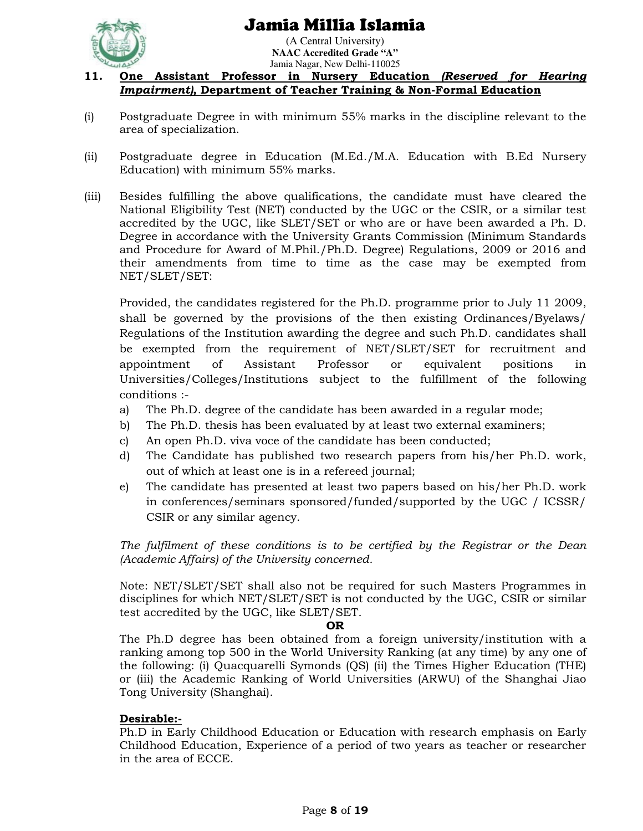

(A Central University) **NAAC Accredited Grade "A"**  Jamia Nagar, New Delhi-110025

### **11. One Assistant Professor in Nursery Education** *(Reserved for Hearing Impairment),* **Department of Teacher Training & Non-Formal Education**

- (i) Postgraduate Degree in with minimum 55% marks in the discipline relevant to the area of specialization.
- (ii) Postgraduate degree in Education (M.Ed./M.A. Education with B.Ed Nursery Education) with minimum 55% marks.
- (iii) Besides fulfilling the above qualifications, the candidate must have cleared the National Eligibility Test (NET) conducted by the UGC or the CSIR, or a similar test accredited by the UGC, like SLET/SET or who are or have been awarded a Ph. D. Degree in accordance with the University Grants Commission (Minimum Standards and Procedure for Award of M.Phil./Ph.D. Degree) Regulations, 2009 or 2016 and their amendments from time to time as the case may be exempted from NET/SLET/SET:

Provided, the candidates registered for the Ph.D. programme prior to July 11 2009, shall be governed by the provisions of the then existing Ordinances/Byelaws/ Regulations of the Institution awarding the degree and such Ph.D. candidates shall be exempted from the requirement of NET/SLET/SET for recruitment and appointment of Assistant Professor or equivalent positions in Universities/Colleges/Institutions subject to the fulfillment of the following conditions :-

- a) The Ph.D. degree of the candidate has been awarded in a regular mode;
- b) The Ph.D. thesis has been evaluated by at least two external examiners;
- c) An open Ph.D. viva voce of the candidate has been conducted;
- d) The Candidate has published two research papers from his/her Ph.D. work, out of which at least one is in a refereed journal;
- e) The candidate has presented at least two papers based on his/her Ph.D. work in conferences/seminars sponsored/funded/supported by the UGC / ICSSR/ CSIR or any similar agency.

*The fulfilment of these conditions is to be certified by the Registrar or the Dean (Academic Affairs) of the University concerned.* 

Note: NET/SLET/SET shall also not be required for such Masters Programmes in disciplines for which NET/SLET/SET is not conducted by the UGC, CSIR or similar test accredited by the UGC, like SLET/SET.

#### **OR**

The Ph.D degree has been obtained from a foreign university/institution with a ranking among top 500 in the World University Ranking (at any time) by any one of the following: (i) Quacquarelli Symonds (QS) (ii) the Times Higher Education (THE) or (iii) the Academic Ranking of World Universities (ARWU) of the Shanghai Jiao Tong University (Shanghai).

## **Desirable:-**

Ph.D in Early Childhood Education or Education with research emphasis on Early Childhood Education, Experience of a period of two years as teacher or researcher in the area of ECCE.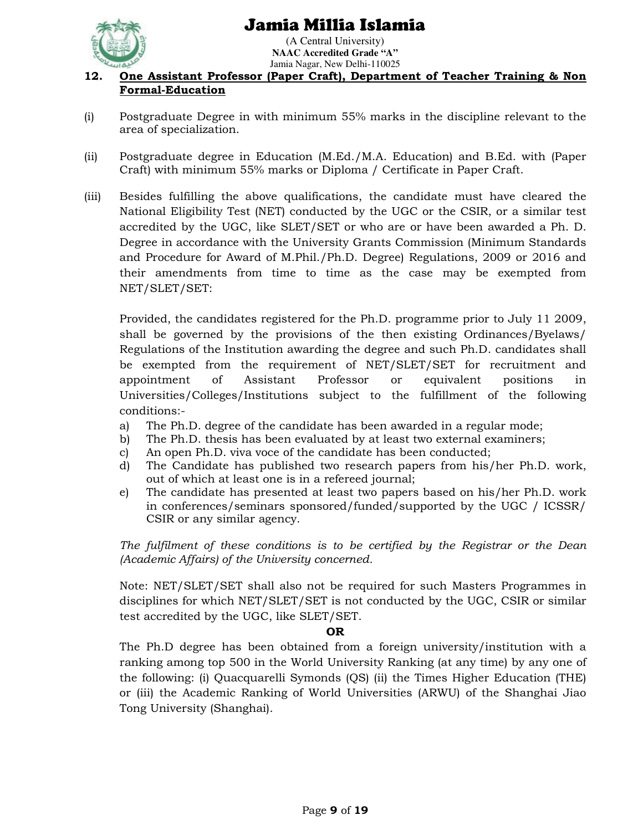

(A Central University) **NAAC Accredited Grade "A"**  Jamia Nagar, New Delhi-110025

## **12. One Assistant Professor (Paper Craft), Department of Teacher Training & Non Formal-Education**

- (i) Postgraduate Degree in with minimum 55% marks in the discipline relevant to the area of specialization.
- (ii) Postgraduate degree in Education (M.Ed./M.A. Education) and B.Ed. with (Paper Craft) with minimum 55% marks or Diploma / Certificate in Paper Craft.
- (iii) Besides fulfilling the above qualifications, the candidate must have cleared the National Eligibility Test (NET) conducted by the UGC or the CSIR, or a similar test accredited by the UGC, like SLET/SET or who are or have been awarded a Ph. D. Degree in accordance with the University Grants Commission (Minimum Standards and Procedure for Award of M.Phil./Ph.D. Degree) Regulations, 2009 or 2016 and their amendments from time to time as the case may be exempted from NET/SLET/SET:

Provided, the candidates registered for the Ph.D. programme prior to July 11 2009, shall be governed by the provisions of the then existing Ordinances/Byelaws/ Regulations of the Institution awarding the degree and such Ph.D. candidates shall be exempted from the requirement of NET/SLET/SET for recruitment and appointment of Assistant Professor or equivalent positions in Universities/Colleges/Institutions subject to the fulfillment of the following conditions:-

- a) The Ph.D. degree of the candidate has been awarded in a regular mode;
- b) The Ph.D. thesis has been evaluated by at least two external examiners;
- c) An open Ph.D. viva voce of the candidate has been conducted;
- d) The Candidate has published two research papers from his/her Ph.D. work, out of which at least one is in a refereed journal;
- e) The candidate has presented at least two papers based on his/her Ph.D. work in conferences/seminars sponsored/funded/supported by the UGC / ICSSR/ CSIR or any similar agency.

*The fulfilment of these conditions is to be certified by the Registrar or the Dean (Academic Affairs) of the University concerned.* 

Note: NET/SLET/SET shall also not be required for such Masters Programmes in disciplines for which NET/SLET/SET is not conducted by the UGC, CSIR or similar test accredited by the UGC, like SLET/SET.

### **OR**

The Ph.D degree has been obtained from a foreign university/institution with a ranking among top 500 in the World University Ranking (at any time) by any one of the following: (i) Quacquarelli Symonds (QS) (ii) the Times Higher Education (THE) or (iii) the Academic Ranking of World Universities (ARWU) of the Shanghai Jiao Tong University (Shanghai).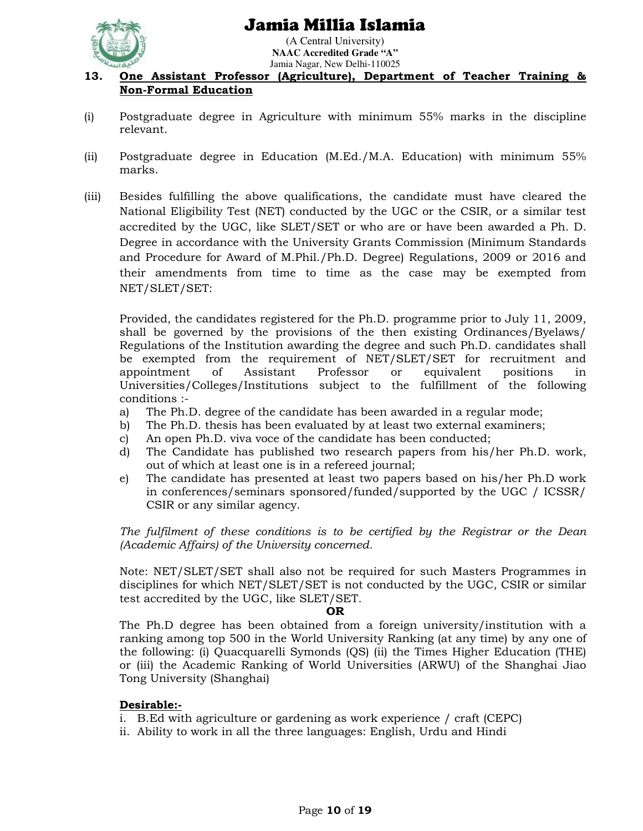

(A Central University) **NAAC Accredited Grade "A"**  Jamia Nagar, New Delhi-110025

### **13. One Assistant Professor (Agriculture), Department of Teacher Training & Non-Formal Education**

- (i) Postgraduate degree in Agriculture with minimum 55% marks in the discipline relevant.
- (ii) Postgraduate degree in Education (M.Ed./M.A. Education) with minimum 55% marks.
- (iii) Besides fulfilling the above qualifications, the candidate must have cleared the National Eligibility Test (NET) conducted by the UGC or the CSIR, or a similar test accredited by the UGC, like SLET/SET or who are or have been awarded a Ph. D. Degree in accordance with the University Grants Commission (Minimum Standards and Procedure for Award of M.Phil./Ph.D. Degree) Regulations, 2009 or 2016 and their amendments from time to time as the case may be exempted from NET/SLET/SET:

Provided, the candidates registered for the Ph.D. programme prior to July 11, 2009, shall be governed by the provisions of the then existing Ordinances/Byelaws/ Regulations of the Institution awarding the degree and such Ph.D. candidates shall be exempted from the requirement of NET/SLET/SET for recruitment and appointment of Assistant Professor or equivalent positions in Universities/Colleges/Institutions subject to the fulfillment of the following conditions :-

- a) The Ph.D. degree of the candidate has been awarded in a regular mode;
- b) The Ph.D. thesis has been evaluated by at least two external examiners;
- c) An open Ph.D. viva voce of the candidate has been conducted;
- d) The Candidate has published two research papers from his/her Ph.D. work, out of which at least one is in a refereed journal;
- e) The candidate has presented at least two papers based on his/her Ph.D work in conferences/seminars sponsored/funded/supported by the UGC / ICSSR/ CSIR or any similar agency.

*The fulfilment of these conditions is to be certified by the Registrar or the Dean (Academic Affairs) of the University concerned.* 

Note: NET/SLET/SET shall also not be required for such Masters Programmes in disciplines for which NET/SLET/SET is not conducted by the UGC, CSIR or similar test accredited by the UGC, like SLET/SET.

### **OR**

The Ph.D degree has been obtained from a foreign university/institution with a ranking among top 500 in the World University Ranking (at any time) by any one of the following: (i) Quacquarelli Symonds (QS) (ii) the Times Higher Education (THE) or (iii) the Academic Ranking of World Universities (ARWU) of the Shanghai Jiao Tong University (Shanghai)

## **Desirable:-**

- i. B.Ed with agriculture or gardening as work experience / craft (CEPC)
- ii. Ability to work in all the three languages: English, Urdu and Hindi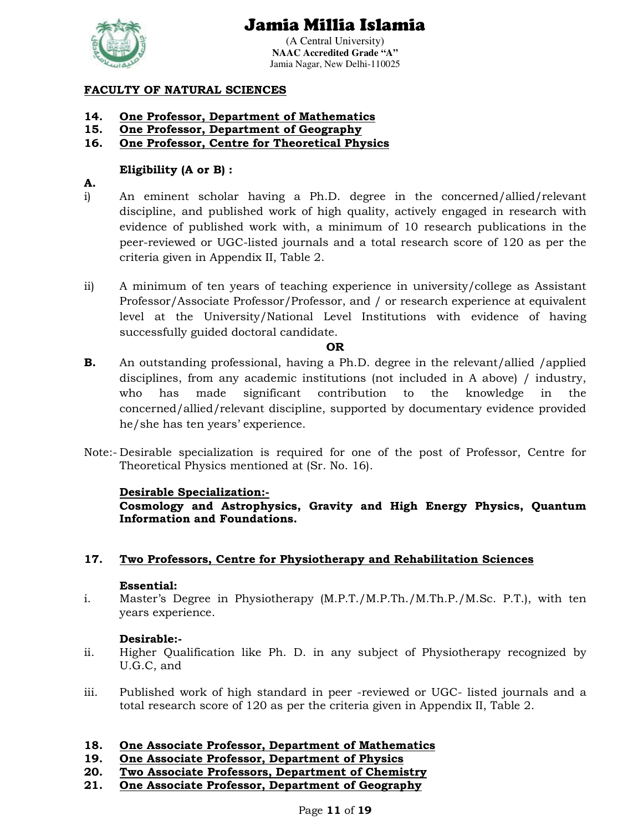

(A Central University) **NAAC Accredited Grade "A"**  Jamia Nagar, New Delhi-110025

## **FACULTY OF NATURAL SCIENCES**

- **14. One Professor, Department of Mathematics**
- **15. One Professor, Department of Geography**
- **16. One Professor, Centre for Theoretical Physics**

## **Eligibility (A or B) :**

## **A.**

- i) An eminent scholar having a Ph.D. degree in the concerned/allied/relevant discipline, and published work of high quality, actively engaged in research with evidence of published work with, a minimum of 10 research publications in the peer-reviewed or UGC-listed journals and a total research score of 120 as per the criteria given in Appendix II, Table 2.
- ii) A minimum of ten years of teaching experience in university/college as Assistant Professor/Associate Professor/Professor, and / or research experience at equivalent level at the University/National Level Institutions with evidence of having successfully guided doctoral candidate.

### **OR**

- **B.** An outstanding professional, having a Ph.D. degree in the relevant/allied /applied disciplines, from any academic institutions (not included in A above) / industry, who has made significant contribution to the knowledge in the concerned/allied/relevant discipline, supported by documentary evidence provided he/she has ten years' experience.
- Note:- Desirable specialization is required for one of the post of Professor, Centre for Theoretical Physics mentioned at (Sr. No. 16).

## **Desirable Specialization:-**

**Cosmology and Astrophysics, Gravity and High Energy Physics, Quantum Information and Foundations.**

## **17. Two Professors, Centre for Physiotherapy and Rehabilitation Sciences**

## **Essential:**

i. Master's Degree in Physiotherapy (M.P.T./M.P.Th./M.Th.P./M.Sc. P.T.), with ten years experience.

## **Desirable:-**

- ii. Higher Qualification like Ph. D. in any subject of Physiotherapy recognized by U.G.C, and
- iii. Published work of high standard in peer -reviewed or UGC- listed journals and a total research score of 120 as per the criteria given in Appendix II, Table 2.

## **18. One Associate Professor, Department of Mathematics**

- **19. One Associate Professor, Department of Physics**
- **20. Two Associate Professors, Department of Chemistry**
- **21. One Associate Professor, Department of Geography**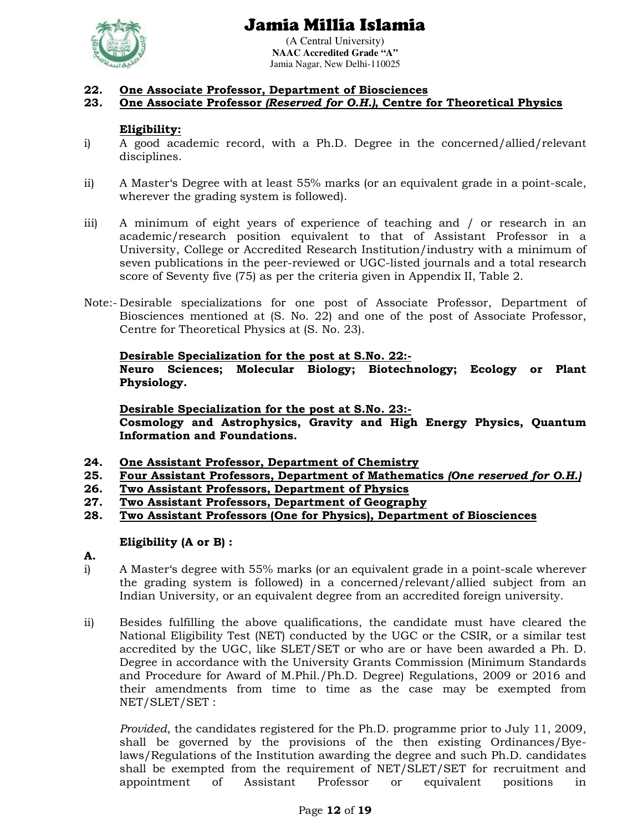



(A Central University) **NAAC Accredited Grade "A"**  Jamia Nagar, New Delhi-110025

### **22. One Associate Professor, Department of Biosciences**

### **23. One Associate Professor** *(Reserved for O.H.)***, Centre for Theoretical Physics**

### **Eligibility:**

- i) A good academic record, with a Ph.D. Degree in the concerned/allied/relevant disciplines.
- ii) A Master's Degree with at least 55% marks (or an equivalent grade in a point-scale, wherever the grading system is followed).
- iii) A minimum of eight years of experience of teaching and / or research in an academic/research position equivalent to that of Assistant Professor in a University, College or Accredited Research Institution/industry with a minimum of seven publications in the peer-reviewed or UGC-listed journals and a total research score of Seventy five (75) as per the criteria given in Appendix II, Table 2.
- Note:- Desirable specializations for one post of Associate Professor, Department of Biosciences mentioned at (S. No. 22) and one of the post of Associate Professor, Centre for Theoretical Physics at (S. No. 23).

#### **Desirable Specialization for the post at S.No. 22:-**

**Neuro Sciences; Molecular Biology; Biotechnology; Ecology or Plant Physiology.** 

**Desirable Specialization for the post at S.No. 23:-**

**Cosmology and Astrophysics, Gravity and High Energy Physics, Quantum Information and Foundations.** 

- **24. One Assistant Professor, Department of Chemistry**
- **25. Four Assistant Professors, Department of Mathematics** *(One reserved for O.H.)*
- **26. Two Assistant Professors, Department of Physics**
- **27. Two Assistant Professors, Department of Geography**
- **28. Two Assistant Professors (One for Physics), Department of Biosciences**

### **Eligibility (A or B) :**

- **A.**
- i) A Master's degree with 55% marks (or an equivalent grade in a point-scale wherever the grading system is followed) in a concerned/relevant/allied subject from an Indian University, or an equivalent degree from an accredited foreign university.
- ii) Besides fulfilling the above qualifications, the candidate must have cleared the National Eligibility Test (NET) conducted by the UGC or the CSIR, or a similar test accredited by the UGC, like SLET/SET or who are or have been awarded a Ph. D*.*  Degree in accordance with the University Grants Commission (Minimum Standards and Procedure for Award of M.Phil./Ph.D. Degree) Regulations, 2009 or 2016 and their amendments from time to time as the case may be exempted from NET/SLET/SET :

*Provided*, the candidates registered for the Ph.D. programme prior to July 11, 2009, shall be governed by the provisions of the then existing Ordinances/Byelaws/Regulations of the Institution awarding the degree and such Ph.D. candidates shall be exempted from the requirement of NET/SLET/SET for recruitment and appointment of Assistant Professor or equivalent positions in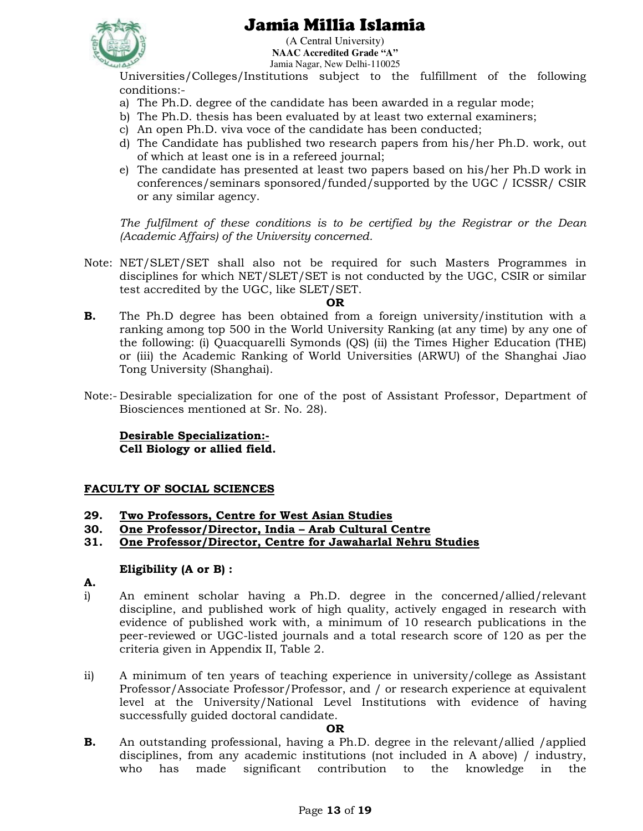

(A Central University) **NAAC Accredited Grade "A"**  Jamia Nagar, New Delhi-110025

Universities/Colleges/Institutions subject to the fulfillment of the following conditions:-

- a) The Ph.D. degree of the candidate has been awarded in a regular mode;
- b) The Ph.D. thesis has been evaluated by at least two external examiners;
- c) An open Ph.D. viva voce of the candidate has been conducted;
- d) The Candidate has published two research papers from his/her Ph.D. work, out of which at least one is in a refereed journal;
- e) The candidate has presented at least two papers based on his/her Ph.D work in conferences/seminars sponsored/funded/supported by the UGC / ICSSR/ CSIR or any similar agency.

*The fulfilment of these conditions is to be certified by the Registrar or the Dean (Academic Affairs) of the University concerned.* 

Note: NET/SLET/SET shall also not be required for such Masters Programmes in disciplines for which NET/SLET/SET is not conducted by the UGC, CSIR or similar test accredited by the UGC, like SLET/SET.

#### **OR**

- **B.** The Ph.D degree has been obtained from a foreign university/institution with a ranking among top 500 in the World University Ranking (at any time) by any one of the following: (i) Quacquarelli Symonds (QS) (ii) the Times Higher Education (THE) or (iii) the Academic Ranking of World Universities (ARWU) of the Shanghai Jiao Tong University (Shanghai).
- Note:- Desirable specialization for one of the post of Assistant Professor, Department of Biosciences mentioned at Sr. No. 28).

**Desirable Specialization:- Cell Biology or allied field.** 

## **FACULTY OF SOCIAL SCIENCES**

- **29. Two Professors, Centre for West Asian Studies**
- **30. One Professor/Director, India Arab Cultural Centre**
- **31. One Professor/Director, Centre for Jawaharlal Nehru Studies**

### **Eligibility (A or B) :**

- **A.**
- i) An eminent scholar having a Ph.D. degree in the concerned/allied/relevant discipline, and published work of high quality, actively engaged in research with evidence of published work with, a minimum of 10 research publications in the peer-reviewed or UGC-listed journals and a total research score of 120 as per the criteria given in Appendix II, Table 2.
- ii) A minimum of ten years of teaching experience in university/college as Assistant Professor/Associate Professor/Professor, and / or research experience at equivalent level at the University/National Level Institutions with evidence of having successfully guided doctoral candidate.

### **OR**

**B.** An outstanding professional, having a Ph.D. degree in the relevant/allied /applied disciplines, from any academic institutions (not included in A above) / industry, who has made significant contribution to the knowledge in the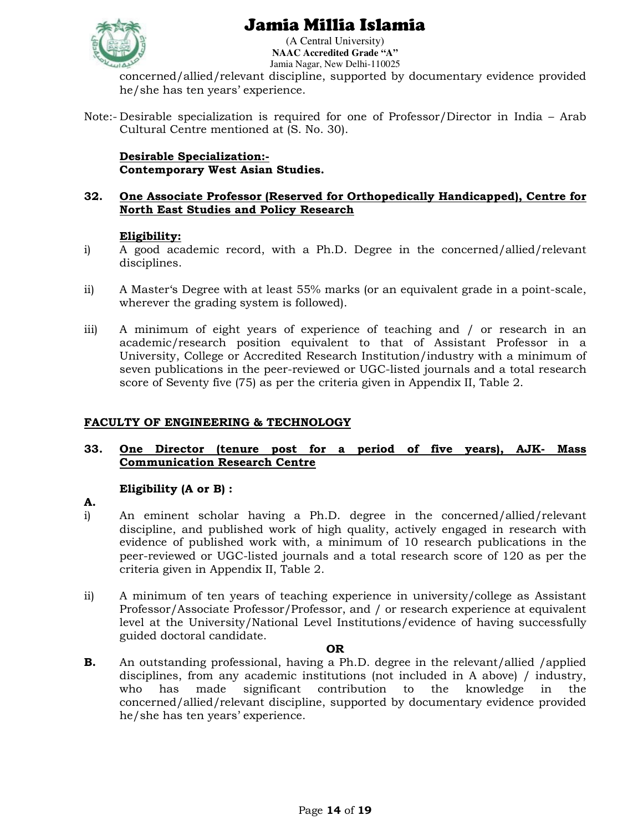

(A Central University) **NAAC Accredited Grade "A"**  Jamia Nagar, New Delhi-110025

concerned/allied/relevant discipline, supported by documentary evidence provided he/she has ten years' experience.

Note:- Desirable specialization is required for one of Professor/Director in India – Arab Cultural Centre mentioned at (S. No. 30).

**Desirable Specialization:- Contemporary West Asian Studies.** 

### **32. One Associate Professor (Reserved for Orthopedically Handicapped), Centre for North East Studies and Policy Research**

## **Eligibility:**

- i) A good academic record, with a Ph.D. Degree in the concerned/allied/relevant disciplines.
- ii) A Master's Degree with at least 55% marks (or an equivalent grade in a point-scale, wherever the grading system is followed).
- iii) A minimum of eight years of experience of teaching and / or research in an academic/research position equivalent to that of Assistant Professor in a University, College or Accredited Research Institution/industry with a minimum of seven publications in the peer-reviewed or UGC-listed journals and a total research score of Seventy five (75) as per the criteria given in Appendix II, Table 2.

## **FACULTY OF ENGINEERING & TECHNOLOGY**

### **33. One Director (tenure post for a period of five years), AJK- Mass Communication Research Centre**

## **Eligibility (A or B) :**

- **A.**
- i) An eminent scholar having a Ph.D. degree in the concerned/allied/relevant discipline, and published work of high quality, actively engaged in research with evidence of published work with, a minimum of 10 research publications in the peer-reviewed or UGC-listed journals and a total research score of 120 as per the criteria given in Appendix II, Table 2.
- ii) A minimum of ten years of teaching experience in university/college as Assistant Professor/Associate Professor/Professor, and / or research experience at equivalent level at the University/National Level Institutions/evidence of having successfully guided doctoral candidate.

### **OR**

**B.** An outstanding professional, having a Ph.D. degree in the relevant/allied /applied disciplines, from any academic institutions (not included in A above) / industry, who has made significant contribution to the knowledge in the concerned/allied/relevant discipline, supported by documentary evidence provided he/she has ten years' experience.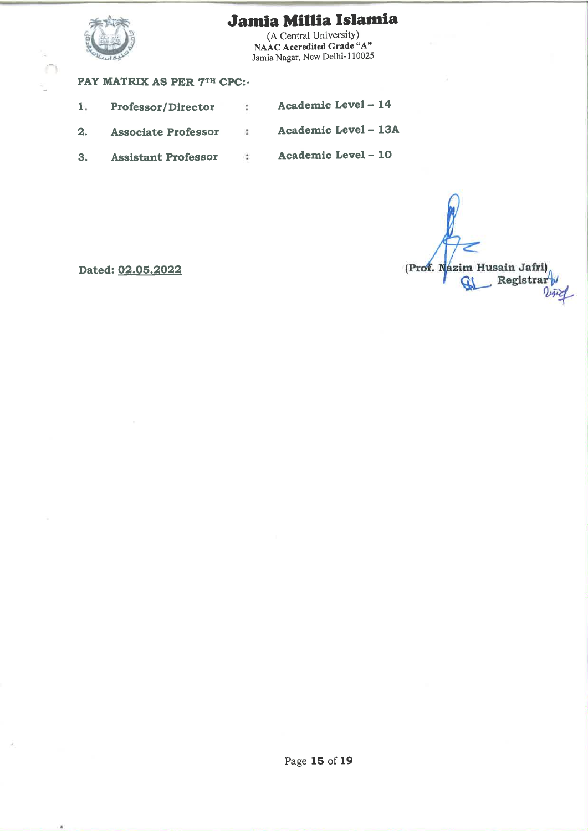

(A Central University) NAAC Accredited Grade "A" Jamia Nagar, New Delhi-110025

## PAY MATRIX AS PER 7TH CPC:-

Academic Level - 14  $1.$ Professor/Director  $\ddot{\phantom{a}}$ Academic Level - 13A  $2.$ **Associate Professor**  $\ddot{\phantom{a}}$ Academic Level - 10  $3.$ **Assistant Professor**  $\ddot{\phantom{a}}$ 

(Prof. Nazim Husain Jafri) Registrar<sup>y</sup> Ø

Dated: 02.05.2022

×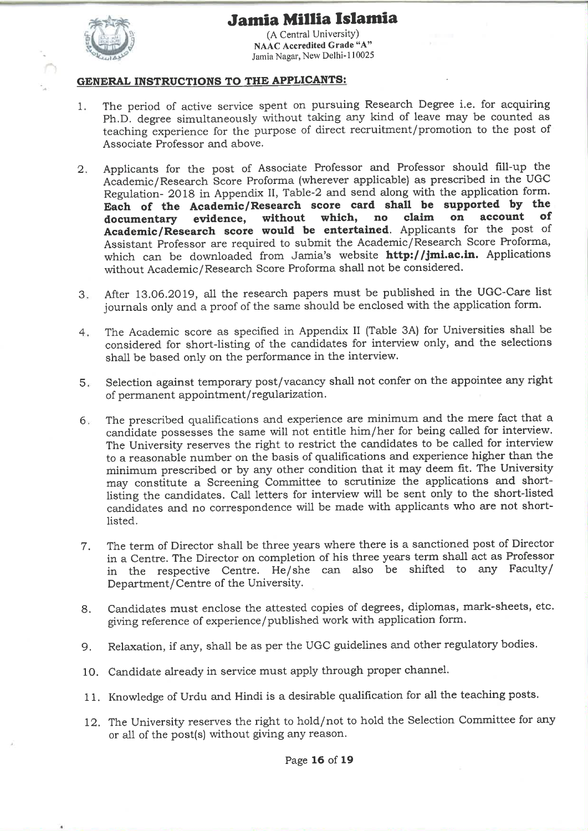

(A Central University) **NAAC Accredited Grade "A"** Jamia Nagar, New Delhi-110025

### **GENERAL INSTRUCTIONS TO THE APPLICANTS:**

- The period of active service spent on pursuing Research Degree i.e. for acquiring  $1.$ Ph.D. degree simultaneously without taking any kind of leave may be counted as teaching experience for the purpose of direct recruitment/promotion to the post of Associate Professor and above.
- Applicants for the post of Associate Professor and Professor should fill-up the  $2.$ Academic/Research Score Proforma (wherever applicable) as prescribed in the UGC Regulation- 2018 in Appendix II, Table-2 and send along with the application form. Each of the Academic/Research score card shall be supported by the account of which, no claim on documentary evidence, without Academic/Research score would be entertained. Applicants for the post of Assistant Professor are required to submit the Academic/Research Score Proforma, which can be downloaded from Jamia's website http://jmi.ac.in. Applications without Academic/Research Score Proforma shall not be considered.
- After 13.06.2019, all the research papers must be published in the UGC-Care list  $3.$ journals only and a proof of the same should be enclosed with the application form.
- The Academic score as specified in Appendix II (Table 3A) for Universities shall be  $4.$ considered for short-listing of the candidates for interview only, and the selections shall be based only on the performance in the interview.
- Selection against temporary post/vacancy shall not confer on the appointee any right  $5<sub>x</sub>$ of permanent appointment/regularization.
- The prescribed qualifications and experience are minimum and the mere fact that a  $6$ candidate possesses the same will not entitle him/her for being called for interview. The University reserves the right to restrict the candidates to be called for interview to a reasonable number on the basis of qualifications and experience higher than the minimum prescribed or by any other condition that it may deem fit. The University may constitute a Screening Committee to scrutinize the applications and shortlisting the candidates. Call letters for interview will be sent only to the short-listed candidates and no correspondence will be made with applicants who are not shortlisted.
- The term of Director shall be three years where there is a sanctioned post of Director  $7.$ in a Centre. The Director on completion of his three years term shall act as Professor in the respective Centre. He/she can also be shifted to any Faculty/ Department/Centre of the University.
- Candidates must enclose the attested copies of degrees, diplomas, mark-sheets, etc. 8. giving reference of experience/published work with application form.
- Relaxation, if any, shall be as per the UGC guidelines and other regulatory bodies. 9.
- 10. Candidate already in service must apply through proper channel.
- 11. Knowledge of Urdu and Hindi is a desirable qualification for all the teaching posts.
- 12. The University reserves the right to hold/not to hold the Selection Committee for any or all of the post(s) without giving any reason.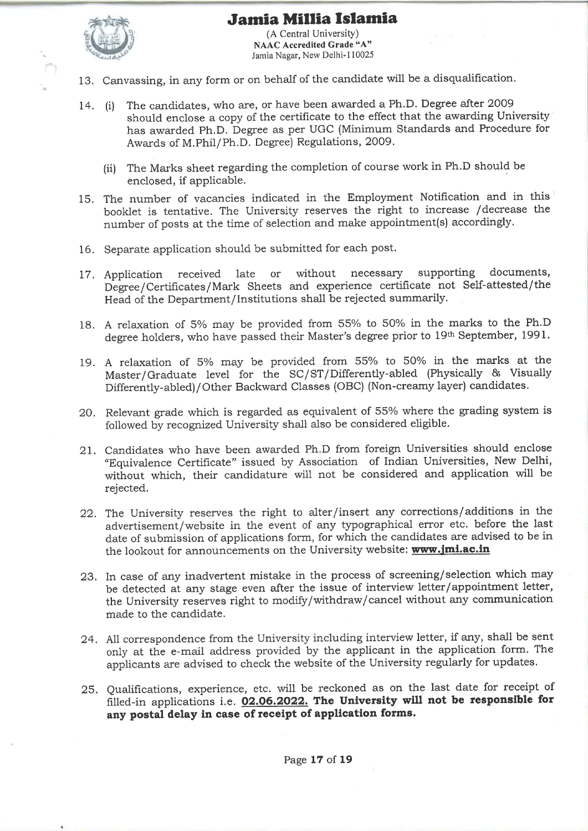

(A Central University) **NAAC Accredited Grade "A"** Jamia Nagar, New Delhi-110025

- 13. Canvassing, in any form or on behalf of the candidate will be a disqualification.
- The candidates, who are, or have been awarded a Ph.D. Degree after 2009 14. (i) should enclose a copy of the certificate to the effect that the awarding University has awarded Ph.D. Degree as per UGC (Minimum Standards and Procedure for Awards of M.Phil/Ph.D. Degree) Regulations, 2009.
	- (ii) The Marks sheet regarding the completion of course work in Ph.D should be enclosed, if applicable.
- 15. The number of vacancies indicated in the Employment Notification and in this booklet is tentative. The University reserves the right to increase /decrease the number of posts at the time of selection and make appointment(s) accordingly.
- 16. Separate application should be submitted for each post.
- supporting documents, 17. Application received late **or** without necessary Degree/Certificates/Mark Sheets and experience certificate not Self-attested/the Head of the Department/Institutions shall be rejected summarily.
- 18. A relaxation of 5% may be provided from 55% to 50% in the marks to the Ph.D degree holders, who have passed their Master's degree prior to 19th September, 1991.
- 19. A relaxation of 5% may be provided from 55% to 50% in the marks at the Master/Graduate level for the SC/ST/Differently-abled (Physically & Visually Differently-abled)/Other Backward Classes (OBC) (Non-creamy layer) candidates.
- 20. Relevant grade which is regarded as equivalent of 55% where the grading system is followed by recognized University shall also be considered eligible.
- 21. Candidates who have been awarded Ph.D from foreign Universities should enclose "Equivalence Certificate" issued by Association of Indian Universities, New Delhi, without which, their candidature will not be considered and application will be rejected.
- 22. The University reserves the right to alter/insert any corrections/additions in the advertisement/website in the event of any typographical error etc. before the last date of submission of applications form, for which the candidates are advised to be in the lookout for announcements on the University website: www.jmi.ac.in
- 23. In case of any inadvertent mistake in the process of screening/selection which may be detected at any stage even after the issue of interview letter/appointment letter, the University reserves right to modify/withdraw/cancel without any communication made to the candidate.
- 24. All correspondence from the University including interview letter, if any, shall be sent only at the e-mail address provided by the applicant in the application form. The applicants are advised to check the website of the University regularly for updates.
- 25. Qualifications, experience, etc. will be reckoned as on the last date for receipt of filled-in applications i.e. 02.06.2022. The University will not be responsible for any postal delay in case of receipt of application forms.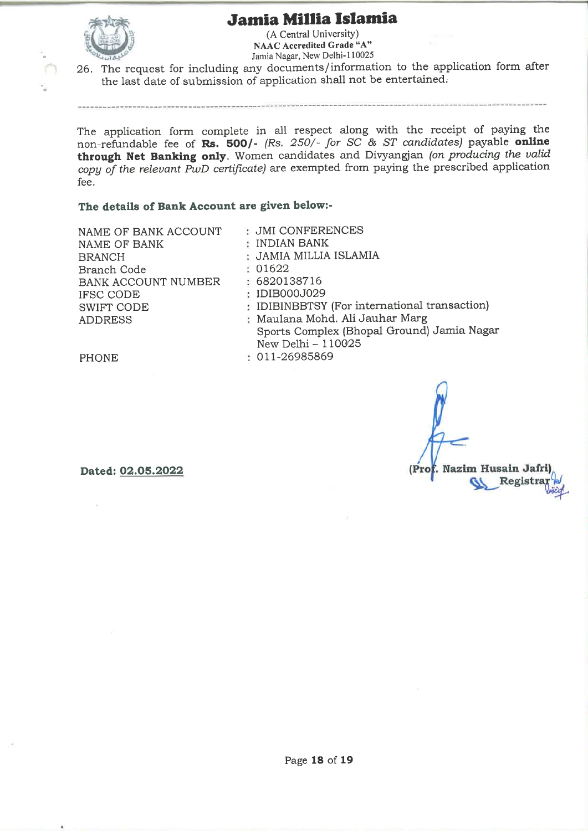

(A Central University) NAAC Accredited Grade "A" Jamia Nagar, New Delhi-110025

26. The request for including any documents/information to the application form after the last date of submission of application shall not be entertained.

The application form complete in all respect along with the receipt of paying the non-refundable fee of Rs. 500/- (Rs. 250/- for SC & ST candidates) payable online through Net Banking only. Women candidates and Divyangian (on producing the valid copy of the relevant PwD certificate) are exempted from paying the prescribed application fee.

### The details of Bank Account are given below:-

NAME OF BANK ACCOUNT NAME OF BANK **BRANCH** Branch Code BANK ACCOUNT NUMBER IFSC CODE **SWIFT CODE ADDRESS** 

**JMI CONFERENCES** : INDIAN BANK : JAMIA MILLIA ISLAMIA : 01622 : 6820138716 : IDIB000J029 : IDIBINBBTSY (For international transaction) : Maulana Mohd. Ali Jauhar Marg Sports Complex (Bhopal Ground) Jamia Nagar New Delhi - 110025 1 011-26985869

(Prof. Nazim Husain Jafri

Registra

**PHONE** 

Dated: 02.05.2022